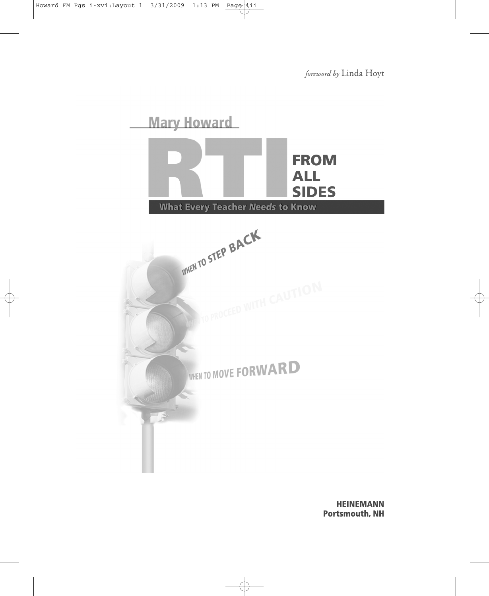

**HEINEMANN Portsmouth, NH**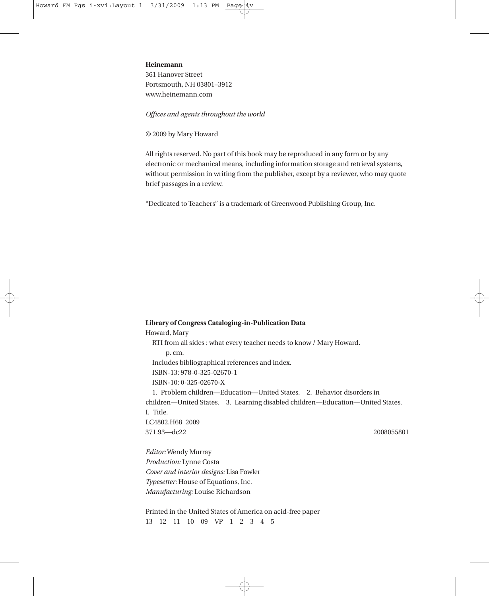#### **Heinemann**

361 Hanover Street Portsmouth, NH 03801–3912 www.heinemann.com

*Offices and agents throughout the world*

© 2009 by Mary Howard

All rights reserved. No part of this book may be reproduced in any form or by any electronic or mechanical means, including information storage and retrieval systems, without permission in writing from the publisher, except by a reviewer, who may quote brief passages in a review.

"Dedicated to Teachers" is a trademark of Greenwood Publishing Group, Inc.

#### **Library of Congress Cataloging-in-Publication Data**

Howard, Mary RTI from all sides : what every teacher needs to know / Mary Howard. p. cm. Includes bibliographical references and index. ISBN-13: 978-0-325-02670-1 ISBN-10: 0-325-02670-X 1. Problem children—Education—United States. 2. Behavior disorders in children—United States. 3. Learning disabled children—Education—United States. I. Title. LC4802.H68 2009 371.93—dc22 2008055801

*Editor:*Wendy Murray *Production:* Lynne Costa *Cover and interior designs:* Lisa Fowler *Typesetter:* House of Equations, Inc. *Manufacturing:* Louise Richardson

Printed in the United States of America on acid-free paper 13 12 11 10 09 VP 1 2 3 4 5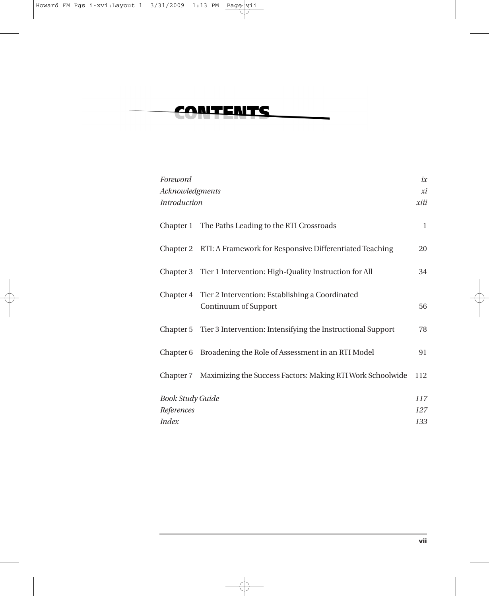## CONITENTS

| Foreword                |                                                                       | ix   |
|-------------------------|-----------------------------------------------------------------------|------|
| Acknowledgments         |                                                                       | xi   |
| <b>Introduction</b>     |                                                                       | xiii |
|                         |                                                                       |      |
|                         | Chapter 1 The Paths Leading to the RTI Crossroads                     | 1    |
|                         |                                                                       |      |
|                         | Chapter 2 RTI: A Framework for Responsive Differentiated Teaching     | 20   |
|                         |                                                                       |      |
|                         | Chapter 3 Tier 1 Intervention: High-Quality Instruction for All       | 34   |
|                         | Chapter 4 Tier 2 Intervention: Establishing a Coordinated             |      |
|                         | Continuum of Support                                                  | 56   |
|                         |                                                                       |      |
|                         | Chapter 5 Tier 3 Intervention: Intensifying the Instructional Support | 78   |
|                         |                                                                       |      |
|                         | Chapter 6 Broadening the Role of Assessment in an RTI Model           | 91   |
|                         |                                                                       |      |
|                         | Chapter 7 Maximizing the Success Factors: Making RTI Work Schoolwide  | 112  |
|                         |                                                                       |      |
| <b>Book Study Guide</b> |                                                                       | 117  |
| References              |                                                                       | 127  |
| <i>Index</i>            |                                                                       | 133  |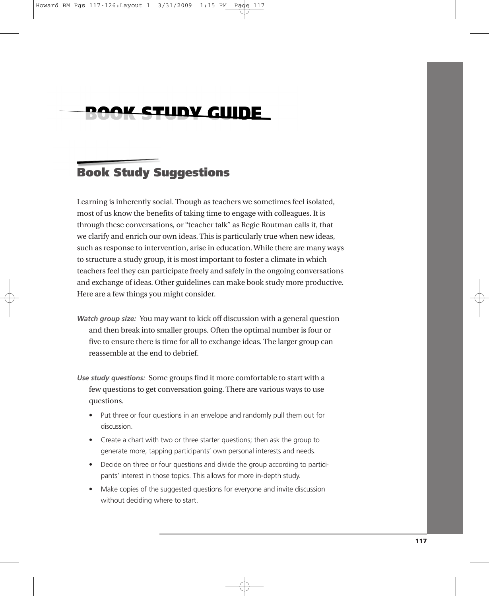### **PAAK STUDY GUIDE**

#### **Book Study Suggestions**

Learning is inherently social. Though as teachers we sometimes feel isolated, most of us know the benefits of taking time to engage with colleagues. It is through these conversations, or "teacher talk" as Regie Routman calls it, that we clarify and enrich our own ideas. This is particularly true when new ideas, such as response to intervention, arise in education.While there are many ways to structure a study group, it is most important to foster a climate in which teachers feel they can participate freely and safely in the ongoing conversations and exchange of ideas. Other guidelines can make book study more productive. Here are a few things you might consider.

- *Watch group size:* You may want to kick off discussion with a general question and then break into smaller groups. Often the optimal number is four or five to ensure there is time for all to exchange ideas. The larger group can reassemble at the end to debrief.
- *Use study questions:* Some groups find it more comfortable to start with a few questions to get conversation going. There are various ways to use questions.
	- Put three or four questions in an envelope and randomly pull them out for discussion.
	- Create a chart with two or three starter questions; then ask the group to generate more, tapping participants' own personal interests and needs.
	- Decide on three or four questions and divide the group according to participants' interest in those topics. This allows for more in-depth study.
	- Make copies of the suggested questions for everyone and invite discussion without deciding where to start.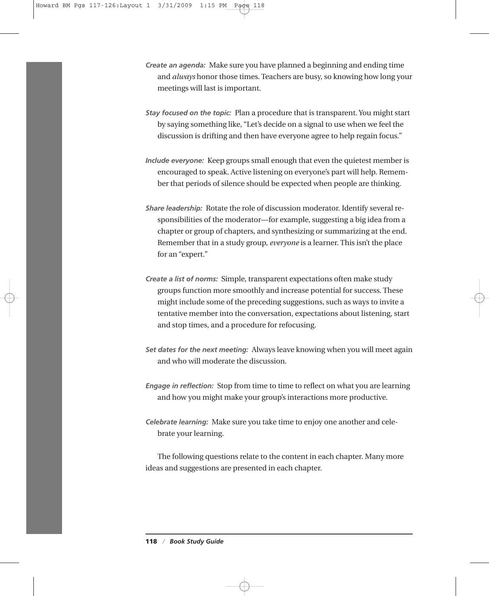- *Create an agenda:* Make sure you have planned a beginning and ending time and *always* honor those times. Teachers are busy, so knowing how long your meetings will last is important.
- *Stay focused on the topic:* Plan a procedure that is transparent. You might start by saying something like, "Let's decide on a signal to use when we feel the discussion is drifting and then have everyone agree to help regain focus."
- *Include everyone:* Keep groups small enough that even the quietest member is encouraged to speak. Active listening on everyone's part will help. Remember that periods of silence should be expected when people are thinking.
- *Share leadership:* Rotate the role of discussion moderator. Identify several responsibilities of the moderator—for example, suggesting a big idea from a chapter or group of chapters, and synthesizing or summarizing at the end. Remember that in a study group, *everyone* is a learner. This isn't the place for an "expert."
- *Create a list of norms:* Simple, transparent expectations often make study groups function more smoothly and increase potential for success. These might include some of the preceding suggestions, such as ways to invite a tentative member into the conversation, expectations about listening, start and stop times, and a procedure for refocusing.
- *Set dates for the next meeting:* Always leave knowing when you will meet again and who will moderate the discussion.
- *Engage in reflection:* Stop from time to time to reflect on what you are learning and how you might make your group's interactions more productive.
- *Celebrate learning:* Make sure you take time to enjoy one another and celebrate your learning.

The following questions relate to the content in each chapter. Many more ideas and suggestions are presented in each chapter.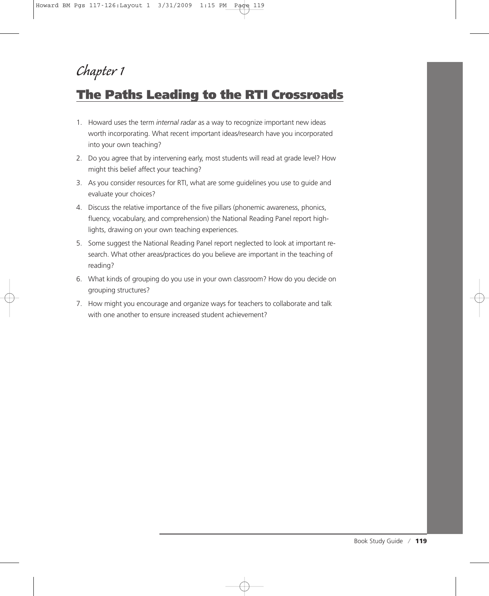#### **The Paths Leading to the RTI Crossroads**

- 1. Howard uses the term *internal radar* as a way to recognize important new ideas worth incorporating. What recent important ideas/research have you incorporated into your own teaching?
- 2. Do you agree that by intervening early, most students will read at grade level? How might this belief affect your teaching?
- 3. As you consider resources for RTI, what are some guidelines you use to guide and evaluate your choices?
- 4. Discuss the relative importance of the five pillars (phonemic awareness, phonics, fluency, vocabulary, and comprehension) the National Reading Panel report highlights, drawing on your own teaching experiences.
- 5. Some suggest the National Reading Panel report neglected to look at important research. What other areas/practices do you believe are important in the teaching of reading?
- 6. What kinds of grouping do you use in your own classroom? How do you decide on grouping structures?
- 7. How might you encourage and organize ways for teachers to collaborate and talk with one another to ensure increased student achievement?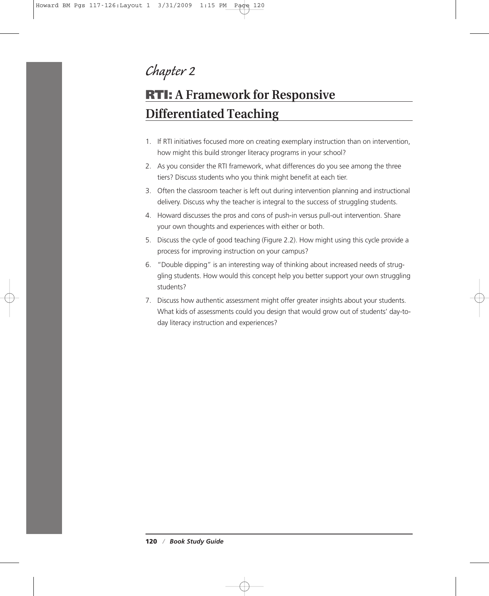# **RTI: A Framework for Responsive Differentiated Teaching**

- 1. If RTI initiatives focused more on creating exemplary instruction than on intervention, how might this build stronger literacy programs in your school?
- 2. As you consider the RTI framework, what differences do you see among the three tiers? Discuss students who you think might benefit at each tier.
- 3. Often the classroom teacher is left out during intervention planning and instructional delivery. Discuss why the teacher is integral to the success of struggling students.
- 4. Howard discusses the pros and cons of push-in versus pull-out intervention. Share your own thoughts and experiences with either or both.
- 5. Discuss the cycle of good teaching (Figure 2.2). How might using this cycle provide a process for improving instruction on your campus?
- 6. "Double dipping" is an interesting way of thinking about increased needs of struggling students. How would this concept help you better support your own struggling students?
- 7. Discuss how authentic assessment might offer greater insights about your students. What kids of assessments could you design that would grow out of students' day-today literacy instruction and experiences?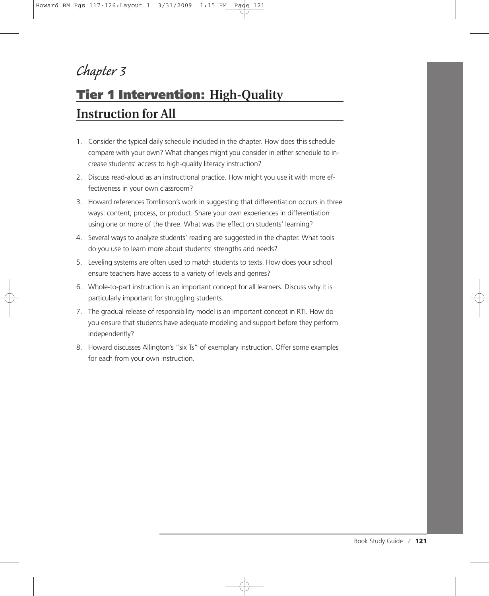# **Tier 1 Intervention: High-Quality Instruction for All**

- 1. Consider the typical daily schedule included in the chapter. How does this schedule compare with your own? What changes might you consider in either schedule to increase students' access to high-quality literacy instruction?
- 2. Discuss read-aloud as an instructional practice. How might you use it with more effectiveness in your own classroom?
- 3. Howard references Tomlinson's work in suggesting that differentiation occurs in three ways: content, process, or product. Share your own experiences in differentiation using one or more of the three. What was the effect on students' learning?
- 4. Several ways to analyze students' reading are suggested in the chapter. What tools do you use to learn more about students' strengths and needs?
- 5. Leveling systems are often used to match students to texts. How does your school ensure teachers have access to a variety of levels and genres?
- 6. Whole-to-part instruction is an important concept for all learners. Discuss why it is particularly important for struggling students.
- 7. The gradual release of responsibility model is an important concept in RTI. How do you ensure that students have adequate modeling and support before they perform independently?
- 8. Howard discusses Allington's "six Ts" of exemplary instruction. Offer some examples for each from your own instruction.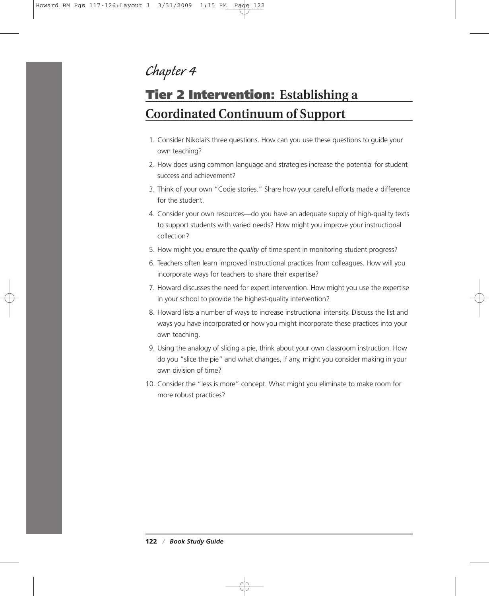# **Tier 2 Intervention: Establishing a Coordinated Continuum of Support**

- 1. Consider Nikolai's three questions. How can you use these questions to guide your own teaching?
- 2. How does using common language and strategies increase the potential for student success and achievement?
- 3. Think of your own "Codie stories." Share how your careful efforts made a difference for the student.
- 4. Consider your own resources—do you have an adequate supply of high-quality texts to support students with varied needs? How might you improve your instructional collection?
- 5. How might you ensure the *quality* of time spent in monitoring student progress?
- 6. Teachers often learn improved instructional practices from colleagues. How will you incorporate ways for teachers to share their expertise?
- 7. Howard discusses the need for expert intervention. How might you use the expertise in your school to provide the highest-quality intervention?
- 8. Howard lists a number of ways to increase instructional intensity. Discuss the list and ways you have incorporated or how you might incorporate these practices into your own teaching.
- 9. Using the analogy of slicing a pie, think about your own classroom instruction. How do you "slice the pie" and what changes, if any, might you consider making in your own division of time?
- 10. Consider the "less is more" concept. What might you eliminate to make room for more robust practices?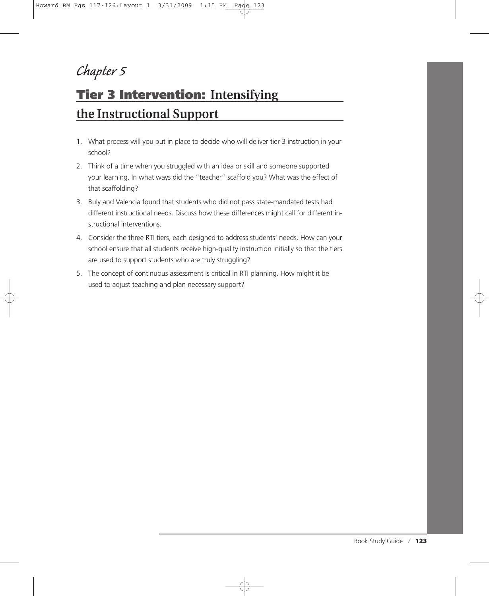# **Tier 3 Intervention: Intensifying the Instructional Support**

- 1. What process will you put in place to decide who will deliver tier 3 instruction in your school?
- 2. Think of a time when you struggled with an idea or skill and someone supported your learning. In what ways did the "teacher" scaffold you? What was the effect of that scaffolding?
- 3. Buly and Valencia found that students who did not pass state-mandated tests had different instructional needs. Discuss how these differences might call for different instructional interventions.
- 4. Consider the three RTI tiers, each designed to address students' needs. How can your school ensure that all students receive high-quality instruction initially so that the tiers are used to support students who are truly struggling?
- 5. The concept of continuous assessment is critical in RTI planning. How might it be used to adjust teaching and plan necessary support?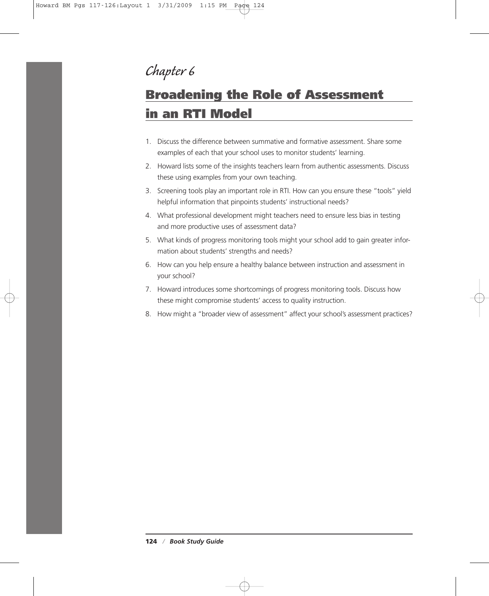# **Broadening the Role of Assessment in an RTI Model**

- 1. Discuss the difference between summative and formative assessment. Share some examples of each that your school uses to monitor students' learning.
- 2. Howard lists some of the insights teachers learn from authentic assessments. Discuss these using examples from your own teaching.
- 3. Screening tools play an important role in RTI. How can you ensure these "tools" yield helpful information that pinpoints students' instructional needs?
- 4. What professional development might teachers need to ensure less bias in testing and more productive uses of assessment data?
- 5. What kinds of progress monitoring tools might your school add to gain greater information about students' strengths and needs?
- 6. How can you help ensure a healthy balance between instruction and assessment in your school?
- 7. Howard introduces some shortcomings of progress monitoring tools. Discuss how these might compromise students' access to quality instruction.
- 8. How might a "broader view of assessment" affect your school's assessment practices?